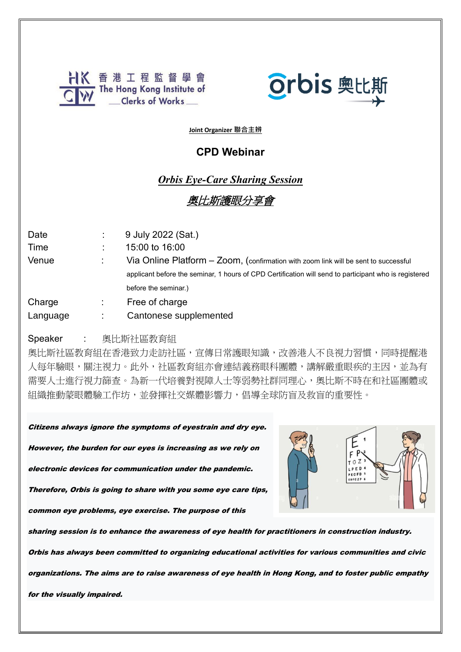



**Joint Organizer 聯合主辨**

## **CPD Webinar**

## *Orbis Eye-Care Sharing Session*

# 奧比斯護眼分享會

| Date<br>Time<br>Venue | 9 July 2022 (Sat.)<br>15:00 to 16:00<br>Via Online Platform - Zoom, (confirmation with zoom link will be sent to successful<br>applicant before the seminar, 1 hours of CPD Certification will send to participant who is registered<br>before the seminar.) |
|-----------------------|--------------------------------------------------------------------------------------------------------------------------------------------------------------------------------------------------------------------------------------------------------------|
| Charge<br>Language    | Free of charge<br>Cantonese supplemented                                                                                                                                                                                                                     |

#### Speaker : 奧比斯社區教育組

奧比斯社區教育組在香港致力走訪社區,宣傳日常護眼知識,改善港人不良視力習慣,同時提醒港 人每年驗眼,關注視力。此外,社區教育組亦會連結義務眼科團體,講解嚴重眼疾的主因,並為有 需要人士進行視力篩查。為新一代培養對視障人士等弱勢社群同理心,奧比斯不時在和社區團體或 組織推動蒙眼體驗工作坊,並發揮社交媒體影響力,倡導全球防盲及救盲的重要性。

Citizens always ignore the symptoms of eyestrain and dry eye. However, the burden for our eyes is increasing as we rely on

electronic devices for communication under the pandemic.

Therefore, Orbis is going to share with you some eye care tips,

common eye problems, eye exercise. The purpose of this



sharing session is to enhance the awareness of eye health for practitioners in construction industry.

Orbis has always been committed to organizing educational activities for various communities and civic

organizations. The aims are to raise awareness of eye health in Hong Kong, and to foster public empathy

for the visually impaired.